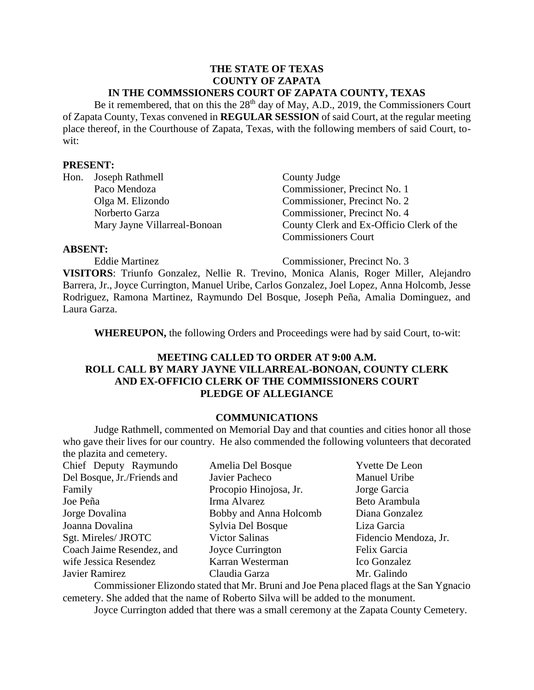#### **THE STATE OF TEXAS COUNTY OF ZAPATA IN THE COMMSSIONERS COURT OF ZAPATA COUNTY, TEXAS**

Be it remembered, that on this the  $28<sup>th</sup>$  day of May, A.D., 2019, the Commissioners Court of Zapata County, Texas convened in **REGULAR SESSION** of said Court, at the regular meeting place thereof, in the Courthouse of Zapata, Texas, with the following members of said Court, towit:

#### **PRESENT:**

| Hon. Joseph Rathmell         |
|------------------------------|
| Paco Mendoza                 |
| Olga M. Elizondo             |
| Norberto Garza               |
| Mary Jayne Villarreal-Bonoan |

County Judge Commissioner, Precinct No. 1 Commissioner, Precinct No. 2 Commissioner, Precinct No. 4 n County Clerk and Ex-Officio Clerk of the Commissioners Court

#### **ABSENT:**

Eddie Martinez Commissioner, Precinct No. 3

**VISITORS**: Triunfo Gonzalez, Nellie R. Trevino, Monica Alanis, Roger Miller, Alejandro Barrera, Jr., Joyce Currington, Manuel Uribe, Carlos Gonzalez, Joel Lopez, Anna Holcomb, Jesse Rodriguez, Ramona Martinez, Raymundo Del Bosque, Joseph Peña, Amalia Dominguez, and Laura Garza.

**WHEREUPON,** the following Orders and Proceedings were had by said Court, to-wit:

# **MEETING CALLED TO ORDER AT 9:00 A.M. ROLL CALL BY MARY JAYNE VILLARREAL-BONOAN, COUNTY CLERK AND EX-OFFICIO CLERK OF THE COMMISSIONERS COURT PLEDGE OF ALLEGIANCE**

### **COMMUNICATIONS**

Judge Rathmell, commented on Memorial Day and that counties and cities honor all those who gave their lives for our country. He also commended the following volunteers that decorated the plazita and cemetery.

| Chief Deputy Raymundo<br>Amelia Del Bosque                    | Yvette De Leon        |
|---------------------------------------------------------------|-----------------------|
| Del Bosque, Jr./Friends and<br>Javier Pacheco                 | Manuel Uribe          |
| Family<br>Procopio Hinojosa, Jr.<br>Jorge Garcia              |                       |
| Irma Alvarez<br>Joe Peña                                      | Beto Arambula         |
| Bobby and Anna Holcomb<br>Jorge Dovalina                      | Diana Gonzalez        |
| Joanna Dovalina<br>Sylvia Del Bosque<br>Liza Garcia           |                       |
| Sgt. Mireles/ JROTC<br><b>Victor Salinas</b>                  | Fidencio Mendoza, Jr. |
| Coach Jaime Resendez, and<br>Joyce Currington<br>Felix Garcia |                       |
| wife Jessica Resendez<br>Karran Westerman                     | Ico Gonzalez          |
| Javier Ramirez<br>Mr. Galindo<br>Claudia Garza                |                       |

Commissioner Elizondo stated that Mr. Bruni and Joe Pena placed flags at the San Ygnacio cemetery. She added that the name of Roberto Silva will be added to the monument.

Joyce Currington added that there was a small ceremony at the Zapata County Cemetery.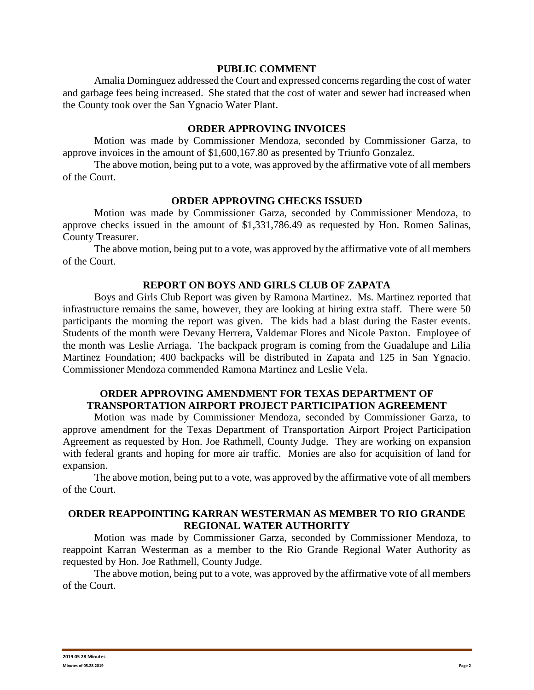#### **PUBLIC COMMENT**

Amalia Dominguez addressed the Court and expressed concerns regarding the cost of water and garbage fees being increased. She stated that the cost of water and sewer had increased when the County took over the San Ygnacio Water Plant.

# **ORDER APPROVING INVOICES**

Motion was made by Commissioner Mendoza, seconded by Commissioner Garza, to approve invoices in the amount of \$1,600,167.80 as presented by Triunfo Gonzalez.

The above motion, being put to a vote, was approved by the affirmative vote of all members of the Court.

# **ORDER APPROVING CHECKS ISSUED**

Motion was made by Commissioner Garza, seconded by Commissioner Mendoza, to approve checks issued in the amount of \$1,331,786.49 as requested by Hon. Romeo Salinas, County Treasurer.

The above motion, being put to a vote, was approved by the affirmative vote of all members of the Court.

#### **REPORT ON BOYS AND GIRLS CLUB OF ZAPATA**

Boys and Girls Club Report was given by Ramona Martinez. Ms. Martinez reported that infrastructure remains the same, however, they are looking at hiring extra staff. There were 50 participants the morning the report was given. The kids had a blast during the Easter events. Students of the month were Devany Herrera, Valdemar Flores and Nicole Paxton. Employee of the month was Leslie Arriaga. The backpack program is coming from the Guadalupe and Lilia Martinez Foundation; 400 backpacks will be distributed in Zapata and 125 in San Ygnacio. Commissioner Mendoza commended Ramona Martinez and Leslie Vela.

# **ORDER APPROVING AMENDMENT FOR TEXAS DEPARTMENT OF TRANSPORTATION AIRPORT PROJECT PARTICIPATION AGREEMENT**

Motion was made by Commissioner Mendoza, seconded by Commissioner Garza, to approve amendment for the Texas Department of Transportation Airport Project Participation Agreement as requested by Hon. Joe Rathmell, County Judge. They are working on expansion with federal grants and hoping for more air traffic. Monies are also for acquisition of land for expansion.

The above motion, being put to a vote, was approved by the affirmative vote of all members of the Court.

# **ORDER REAPPOINTING KARRAN WESTERMAN AS MEMBER TO RIO GRANDE REGIONAL WATER AUTHORITY**

Motion was made by Commissioner Garza, seconded by Commissioner Mendoza, to reappoint Karran Westerman as a member to the Rio Grande Regional Water Authority as requested by Hon. Joe Rathmell, County Judge.

The above motion, being put to a vote, was approved by the affirmative vote of all members of the Court.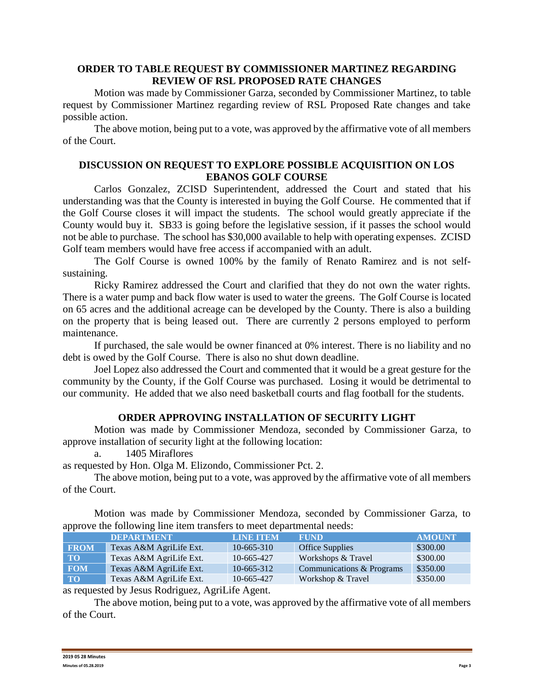# **ORDER TO TABLE REQUEST BY COMMISSIONER MARTINEZ REGARDING REVIEW OF RSL PROPOSED RATE CHANGES**

Motion was made by Commissioner Garza, seconded by Commissioner Martinez, to table request by Commissioner Martinez regarding review of RSL Proposed Rate changes and take possible action.

The above motion, being put to a vote, was approved by the affirmative vote of all members of the Court.

# **DISCUSSION ON REQUEST TO EXPLORE POSSIBLE ACQUISITION ON LOS EBANOS GOLF COURSE**

Carlos Gonzalez, ZCISD Superintendent, addressed the Court and stated that his understanding was that the County is interested in buying the Golf Course. He commented that if the Golf Course closes it will impact the students. The school would greatly appreciate if the County would buy it. SB33 is going before the legislative session, if it passes the school would not be able to purchase. The school has \$30,000 available to help with operating expenses. ZCISD Golf team members would have free access if accompanied with an adult.

The Golf Course is owned 100% by the family of Renato Ramirez and is not selfsustaining.

Ricky Ramirez addressed the Court and clarified that they do not own the water rights. There is a water pump and back flow water is used to water the greens. The Golf Course is located on 65 acres and the additional acreage can be developed by the County. There is also a building on the property that is being leased out. There are currently 2 persons employed to perform maintenance.

If purchased, the sale would be owner financed at 0% interest. There is no liability and no debt is owed by the Golf Course. There is also no shut down deadline.

Joel Lopez also addressed the Court and commented that it would be a great gesture for the community by the County, if the Golf Course was purchased. Losing it would be detrimental to our community. He added that we also need basketball courts and flag football for the students.

#### **ORDER APPROVING INSTALLATION OF SECURITY LIGHT**

Motion was made by Commissioner Mendoza, seconded by Commissioner Garza, to approve installation of security light at the following location:

a. 1405 Miraflores

as requested by Hon. Olga M. Elizondo, Commissioner Pct. 2.

The above motion, being put to a vote, was approved by the affirmative vote of all members of the Court.

Motion was made by Commissioner Mendoza, seconded by Commissioner Garza, to approve the following line item transfers to meet departmental needs:

|             | <b>DEPARTMENT</b>       | <b>LINE TTEM</b> | <b>FUND</b>               | <b>AMOUNT</b> |
|-------------|-------------------------|------------------|---------------------------|---------------|
| <b>FROM</b> | Texas A&M AgriLife Ext. | $10-665-310$     | <b>Office Supplies</b>    | \$300.00      |
| <b>TO</b>   | Texas A&M AgriLife Ext. | 10-665-427       | Workshops & Travel        | \$300.00      |
| <b>FOM</b>  | Texas A&M AgriLife Ext. | $10-665-312$     | Communications & Programs | \$350.00      |
| <b>TO</b>   | Texas A&M AgriLife Ext. | 10-665-427       | Workshop & Travel         | \$350.00      |

as requested by Jesus Rodriguez, AgriLife Agent.

The above motion, being put to a vote, was approved by the affirmative vote of all members of the Court.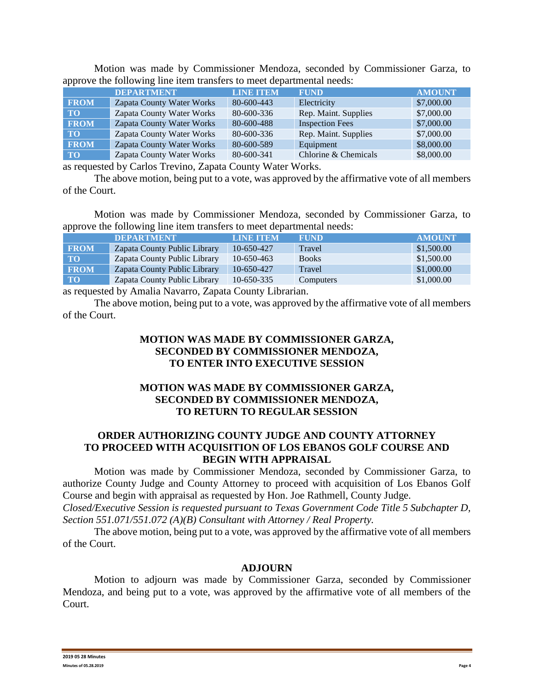|             | <b>DEPARTMENT</b>         | <b>LINE ITEM</b> | <b>FUND</b>            | <b>AMOUNT</b> |
|-------------|---------------------------|------------------|------------------------|---------------|
| <b>FROM</b> | Zapata County Water Works | 80-600-443       | Electricity            | \$7,000.00    |
| <b>TO</b>   | Zapata County Water Works | 80-600-336       | Rep. Maint. Supplies   | \$7,000.00    |
| <b>FROM</b> | Zapata County Water Works | 80-600-488       | <b>Inspection Fees</b> | \$7,000.00    |
| <b>TO</b>   | Zapata County Water Works | 80-600-336       | Rep. Maint. Supplies   | \$7,000.00    |
| <b>FROM</b> | Zapata County Water Works | 80-600-589       | Equipment              | \$8,000.00    |
| $\bf{TO}$   | Zapata County Water Works | 80-600-341       | Chlorine & Chemicals   | \$8,000.00    |

Motion was made by Commissioner Mendoza, seconded by Commissioner Garza, to approve the following line item transfers to meet departmental needs:

as requested by Carlos Trevino, Zapata County Water Works.

The above motion, being put to a vote, was approved by the affirmative vote of all members of the Court.

Motion was made by Commissioner Mendoza, seconded by Commissioner Garza, to approve the following line item transfers to meet departmental needs:

|             | <b>DEPARTMENT</b>            | <b>LINE ITEM</b> | <b>FUND</b>  | <b>AMOUNT</b> |
|-------------|------------------------------|------------------|--------------|---------------|
| <b>FROM</b> | Zapata County Public Library | 10-650-427       | Travel       | \$1,500.00    |
| <b>TO</b>   | Zapata County Public Library | 10-650-463       | <b>Books</b> | \$1,500.00    |
| <b>FROM</b> | Zapata County Public Library | 10-650-427       | Travel       | \$1,000.00    |
| <b>TO</b>   | Zapata County Public Library | $10-650-335$     | Computers    | \$1,000.00    |
|             |                              |                  |              |               |

as requested by Amalia Navarro, Zapata County Librarian.

The above motion, being put to a vote, was approved by the affirmative vote of all members of the Court.

# **MOTION WAS MADE BY COMMISSIONER GARZA, SECONDED BY COMMISSIONER MENDOZA, TO ENTER INTO EXECUTIVE SESSION**

# **MOTION WAS MADE BY COMMISSIONER GARZA, SECONDED BY COMMISSIONER MENDOZA, TO RETURN TO REGULAR SESSION**

# **ORDER AUTHORIZING COUNTY JUDGE AND COUNTY ATTORNEY TO PROCEED WITH ACQUISITION OF LOS EBANOS GOLF COURSE AND BEGIN WITH APPRAISAL**

Motion was made by Commissioner Mendoza, seconded by Commissioner Garza, to authorize County Judge and County Attorney to proceed with acquisition of Los Ebanos Golf Course and begin with appraisal as requested by Hon. Joe Rathmell, County Judge. *Closed/Executive Session is requested pursuant to Texas Government Code Title 5 Subchapter D, Section 551.071/551.072 (A)(B) Consultant with Attorney / Real Property.*

The above motion, being put to a vote, was approved by the affirmative vote of all members of the Court.

#### **ADJOURN**

Motion to adjourn was made by Commissioner Garza, seconded by Commissioner Mendoza, and being put to a vote, was approved by the affirmative vote of all members of the Court.